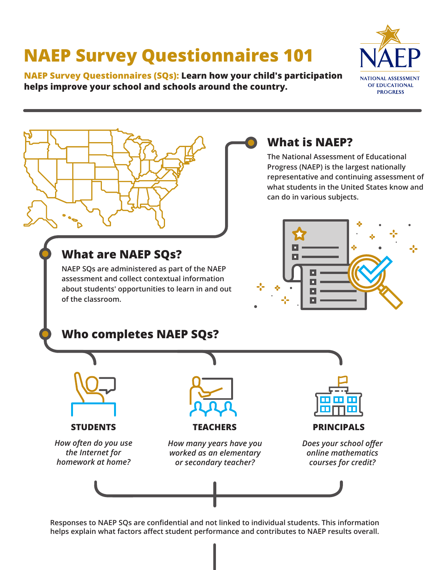## **NAEP Survey Questionnaires 101**

**NAEP Survey Questionnaires (SQs): Learn how your child's participation helps improve your school and schools around the country.** 





**Responses to NAEP SQs are confidential and not linked to individual students. This information helps explain what factors affect student performance and contributes to NAEP results overall.**